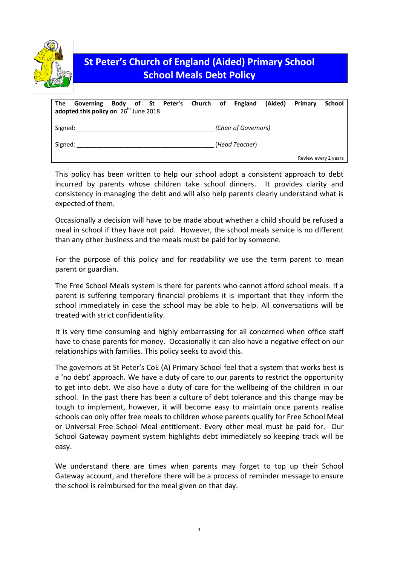

# **St Peter's Church of England (Aided) Primary School School Meals Debt Policy**

| Governing Body of St Peter's Church of England (Aided) Primary<br>The<br>adopted this policy on $26th$ June 2018 |                      |  |  |  | School               |  |
|------------------------------------------------------------------------------------------------------------------|----------------------|--|--|--|----------------------|--|
| Signed:                                                                                                          | (Chair of Governors) |  |  |  |                      |  |
| Signed:                                                                                                          | (Head Teacher)       |  |  |  |                      |  |
|                                                                                                                  |                      |  |  |  | Review every 2 years |  |

This policy has been written to help our school adopt a consistent approach to debt incurred by parents whose children take school dinners. It provides clarity and consistency in managing the debt and will also help parents clearly understand what is expected of them.

Occasionally a decision will have to be made about whether a child should be refused a meal in school if they have not paid. However, the school meals service is no different than any other business and the meals must be paid for by someone.

For the purpose of this policy and for readability we use the term parent to mean parent or guardian.

The Free School Meals system is there for parents who cannot afford school meals. If a parent is suffering temporary financial problems it is important that they inform the school immediately in case the school may be able to help. All conversations will be treated with strict confidentiality.

It is very time consuming and highly embarrassing for all concerned when office staff have to chase parents for money. Occasionally it can also have a negative effect on our relationships with families. This policy seeks to avoid this.

The governors at St Peter's CoE (A) Primary School feel that a system that works best is a 'no debt' approach. We have a duty of care to our parents to restrict the opportunity to get into debt. We also have a duty of care for the wellbeing of the children in our school. In the past there has been a culture of debt tolerance and this change may be tough to implement, however, it will become easy to maintain once parents realise schools can only offer free meals to children whose parents qualify for Free School Meal or Universal Free School Meal entitlement. Every other meal must be paid for. Our School Gateway payment system highlights debt immediately so keeping track will be easy.

We understand there are times when parents may forget to top up their School Gateway account, and therefore there will be a process of reminder message to ensure the school is reimbursed for the meal given on that day.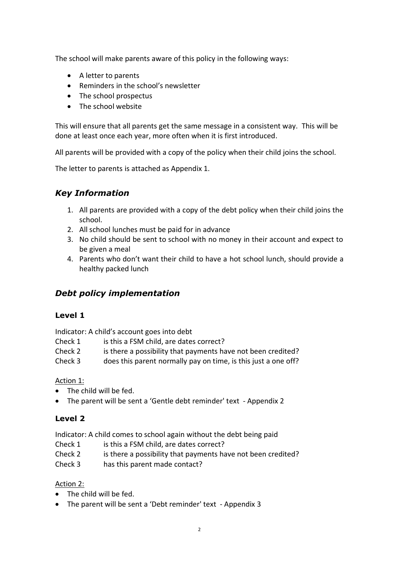The school will make parents aware of this policy in the following ways:

- A letter to parents
- Reminders in the school's newsletter
- The school prospectus
- The school website

This will ensure that all parents get the same message in a consistent way. This will be done at least once each year, more often when it is first introduced.

All parents will be provided with a copy of the policy when their child joins the school.

The letter to parents is attached as Appendix 1.

## *Key Information*

- 1. All parents are provided with a copy of the debt policy when their child joins the school.
- 2. All school lunches must be paid for in advance
- 3. No child should be sent to school with no money in their account and expect to be given a meal
- 4. Parents who don't want their child to have a hot school lunch, should provide a healthy packed lunch

## *Debt policy implementation*

### **Level 1**

Indicator: A child's account goes into debt

- Check 1 is this a FSM child, are dates correct?
- Check 2 is there a possibility that payments have not been credited?
- Check 3 does this parent normally pay on time, is this just a one off?

### Action 1:

- The child will be fed.
- The parent will be sent a 'Gentle debt reminder' text Appendix 2

### **Level 2**

Indicator: A child comes to school again without the debt being paid

- Check 1 is this a FSM child, are dates correct?
- Check 2 is there a possibility that payments have not been credited?

Check 3 has this parent made contact?

### Action 2:

- The child will be fed.
- The parent will be sent a 'Debt reminder' text Appendix 3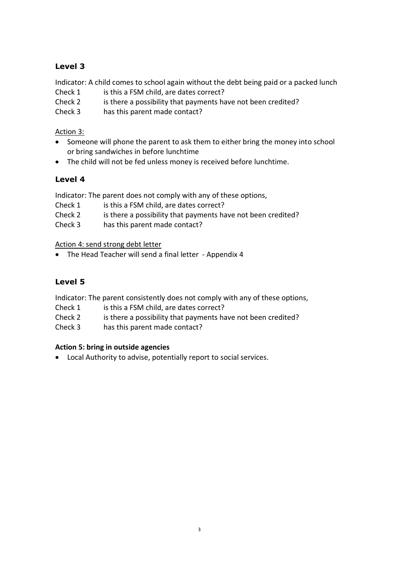## **Level 3**

Indicator: A child comes to school again without the debt being paid or a packed lunch

- Check 1 is this a FSM child, are dates correct?
- Check 2 is there a possibility that payments have not been credited?
- Check 3 has this parent made contact?

## Action 3:

- Someone will phone the parent to ask them to either bring the money into school or bring sandwiches in before lunchtime
- The child will not be fed unless money is received before lunchtime.

## **Level 4**

Indicator: The parent does not comply with any of these options,

- Check 1 is this a FSM child, are dates correct?
- Check 2 is there a possibility that payments have not been credited?
- Check 3 has this parent made contact?

Action 4: send strong debt letter

• The Head Teacher will send a final letter - Appendix 4

## **Level 5**

Indicator: The parent consistently does not comply with any of these options,

- Check 1 is this a FSM child, are dates correct?
- Check 2 is there a possibility that payments have not been credited?
- Check 3 has this parent made contact?

### **Action 5: bring in outside agencies**

Local Authority to advise, potentially report to social services.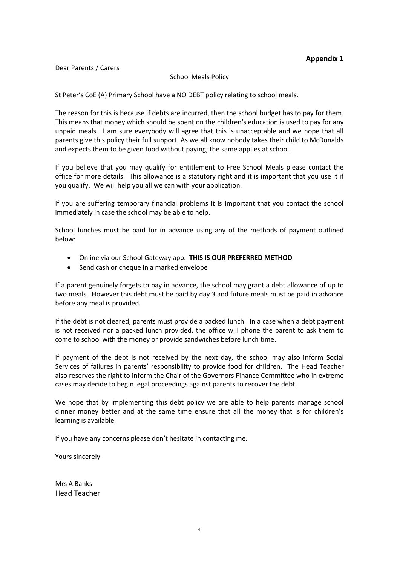### **Appendix 1**

#### Dear Parents / Carers

#### School Meals Policy

St Peter's CoE (A) Primary School have a NO DEBT policy relating to school meals.

The reason for this is because if debts are incurred, then the school budget has to pay for them. This means that money which should be spent on the children's education is used to pay for any unpaid meals. I am sure everybody will agree that this is unacceptable and we hope that all parents give this policy their full support. As we all know nobody takes their child to McDonalds and expects them to be given food without paying; the same applies at school.

If you believe that you may qualify for entitlement to Free School Meals please contact the office for more details. This allowance is a statutory right and it is important that you use it if you qualify. We will help you all we can with your application.

If you are suffering temporary financial problems it is important that you contact the school immediately in case the school may be able to help.

School lunches must be paid for in advance using any of the methods of payment outlined below:

- Online via our School Gateway app. **THIS IS OUR PREFERRED METHOD**
- Send cash or cheque in a marked envelope

If a parent genuinely forgets to pay in advance, the school may grant a debt allowance of up to two meals. However this debt must be paid by day 3 and future meals must be paid in advance before any meal is provided.

If the debt is not cleared, parents must provide a packed lunch. In a case when a debt payment is not received nor a packed lunch provided, the office will phone the parent to ask them to come to school with the money or provide sandwiches before lunch time.

If payment of the debt is not received by the next day, the school may also inform Social Services of failures in parents' responsibility to provide food for children. The Head Teacher also reserves the right to inform the Chair of the Governors Finance Committee who in extreme cases may decide to begin legal proceedings against parents to recover the debt.

We hope that by implementing this debt policy we are able to help parents manage school dinner money better and at the same time ensure that all the money that is for children's learning is available.

If you have any concerns please don't hesitate in contacting me.

Yours sincerely

Mrs A Banks Head Teacher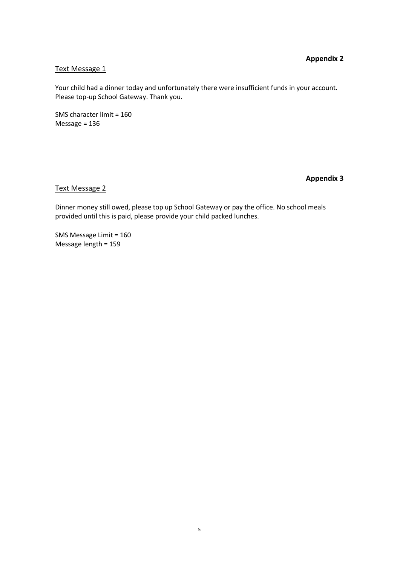### **Appendix 2**

#### Text Message 1

Your child had a dinner today and unfortunately there were insufficient funds in your account. Please top-up School Gateway. Thank you.

SMS character limit = 160 Message = 136

### **Appendix 3**

#### Text Message 2

Dinner money still owed, please top up School Gateway or pay the office. No school meals provided until this is paid, please provide your child packed lunches.

SMS Message Limit = 160 Message length = 159